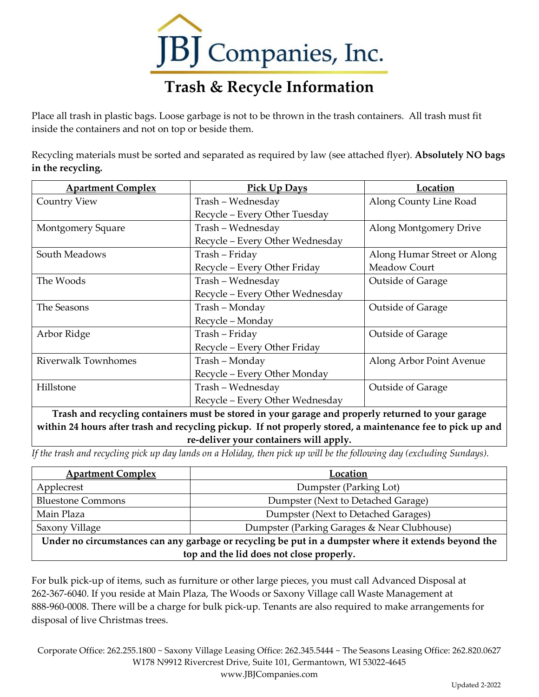

## **Trash & Recycle Information**

Place all trash in plastic bags. Loose garbage is not to be thrown in the trash containers. All trash must fit inside the containers and not on top or beside them.

Recycling materials must be sorted and separated as required by law (see attached flyer). **Absolutely NO bags in the recycling.**

| <b>Apartment Complex</b>   | Pick Up Days                    | Location                    |
|----------------------------|---------------------------------|-----------------------------|
| <b>Country View</b>        | Trash - Wednesday               | Along County Line Road      |
|                            | Recycle - Every Other Tuesday   |                             |
| Montgomery Square          | Trash - Wednesday               | Along Montgomery Drive      |
|                            | Recycle - Every Other Wednesday |                             |
| South Meadows              | Trash – Friday                  | Along Humar Street or Along |
|                            | Recycle - Every Other Friday    | Meadow Court                |
| The Woods                  | Trash - Wednesday               | <b>Outside of Garage</b>    |
|                            | Recycle - Every Other Wednesday |                             |
| The Seasons                | Trash - Monday                  | Outside of Garage           |
|                            | Recycle - Monday                |                             |
| Arbor Ridge                | Trash - Friday                  | <b>Outside of Garage</b>    |
|                            | Recycle – Every Other Friday    |                             |
| <b>Riverwalk Townhomes</b> | Trash - Monday                  | Along Arbor Point Avenue    |
|                            | Recycle - Every Other Monday    |                             |
| Hillstone                  | Trash - Wednesday               | <b>Outside of Garage</b>    |
|                            | Recycle - Every Other Wednesday |                             |

**Trash and recycling containers must be stored in your garage and properly returned to your garage within 24 hours after trash and recycling pickup. If not properly stored, a maintenance fee to pick up and re-deliver your containers will apply.**

*If the trash and recycling pick up day lands on a Holiday, then pick up will be the following day (excluding Sundays).* 

| <b>Apartment Complex</b>                                                                             | Location                                    |  |
|------------------------------------------------------------------------------------------------------|---------------------------------------------|--|
| Applecrest                                                                                           | Dumpster (Parking Lot)                      |  |
| <b>Bluestone Commons</b>                                                                             | Dumpster (Next to Detached Garage)          |  |
| Main Plaza                                                                                           | Dumpster (Next to Detached Garages)         |  |
| Saxony Village                                                                                       | Dumpster (Parking Garages & Near Clubhouse) |  |
| Under no circumstances can any garbage or recycling be put in a dumpster where it extends beyond the |                                             |  |
| top and the lid does not close properly.                                                             |                                             |  |

For bulk pick-up of items, such as furniture or other large pieces, you must call Advanced Disposal at 262-367-6040. If you reside at Main Plaza, The Woods or Saxony Village call Waste Management at 888-960-0008. There will be a charge for bulk pick-up. Tenants are also required to make arrangements for disposal of live Christmas trees.

Corporate Office: 262.255.1800 ~ Saxony Village Leasing Office: 262.345.5444 ~ The Seasons Leasing Office: 262.820.0627 W178 N9912 Rivercrest Drive, Suite 101, Germantown, WI 53022-4645 www.JBJCompanies.com